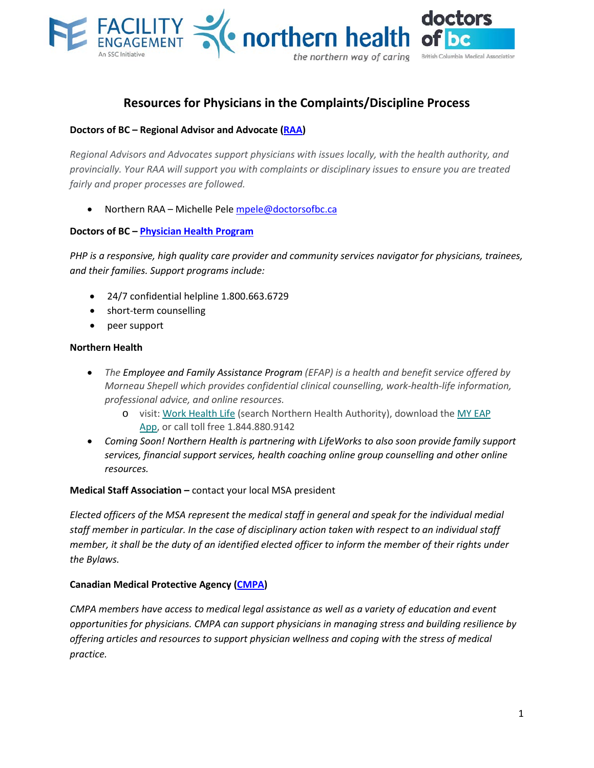

# **Resources for Physicians in the Complaints/Discipline Process**

#### **Doctors of BC – Regional Advisor and Advocate [\(RAA\)](https://www.doctorsofbc.ca/advocacy-and-policy/advocacy/regional-advisors-and-advocates)**

*Regional Advisors and Advocates support physicians with issues locally, with the health authority, and provincially. Your RAA will support you with complaints or disciplinary issues to ensure you are treated fairly and proper processes are followed.* 

• Northern RAA – Michelle Pel[e mpele@doctorsofbc.ca](mailto:mpele@doctorsofbc.ca)

## **Doctors of BC – [Physician Health Program](https://www.physicianhealth.com/)**

*PHP is a responsive, high quality care provider and community services navigator for physicians, trainees, and their families. Support programs include:*

- 24/7 confidential helpline 1.800.663.6729
- short-term counselling
- peer support

## **Northern Health**

- *The Employee and Family Assistance Program (EFAP) is a health and benefit service offered by Morneau Shepell which provides confidential clinical counselling, work-health-life information, professional advice, and online resources.*
	- o visit: [Work Health Life](https://www.workhealthlife.com/) (search Northern Health Authority), download the [MY EAP](https://itunes.apple.com/ca/app/my-eap/id436292883?mt=8) [App,](https://itunes.apple.com/ca/app/my-eap/id436292883?mt=8) or call toll free 1.844.880.9142
- *Coming Soon! Northern Health is partnering with LifeWorks to also soon provide family support services, financial support services, health coaching online group counselling and other online resources.*

#### **Medical Staff Association –** contact your local MSA president

*Elected officers of the MSA represent the medical staff in general and speak for the individual medial staff member in particular. In the case of disciplinary action taken with respect to an individual staff member, it shall be the duty of an identified elected officer to inform the member of their rights under the Bylaws.*

#### **Canadian Medical Protective Agency [\(CMPA\)](https://www.cmpa-acpm.ca/en/home)**

*CMPA members have access to medical legal assistance as well as a variety of education and event opportunities for physicians. CMPA can support physicians in managing stress and building resilience by offering articles and resources to support physician wellness and coping with the stress of medical practice.*